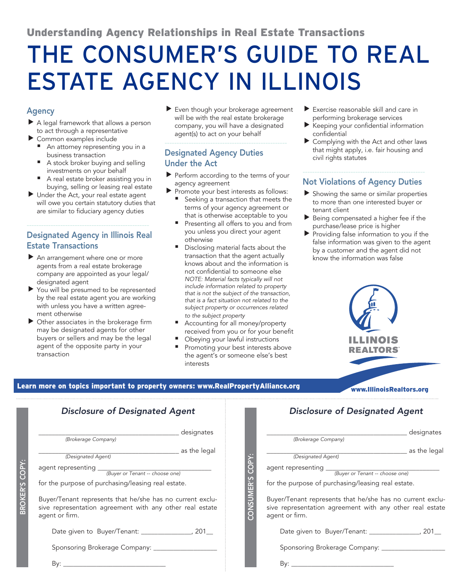## Understanding Agency Relationships in Real Estate Transactions

# THE CONSUMER'S GUIDE TO REAL ESTATE AGENCY IN ILLINOIS

### Agency

- $\blacktriangleright$  A legal framework that allows a person to act through a representative
- $\blacktriangleright$  Common examples include
	- An attorney representing you in a business transaction
	- A stock broker buying and selling investments on your behalf
	- A real estate broker assisting you in buying, selling or leasing real estate
- $\blacktriangleright$  Under the Act, your real estate agent will owe you certain statutory duties that are similar to fiduciary agency duties

## Designated Agency in Illinois Real Estate Transactions

---------------------------------------------------

- $\blacktriangleright$  An arrangement where one or more agents from a real estate brokerage company are appointed as your legal/ designated agent
- $\blacktriangleright$  You will be presumed to be represented by the real estate agent you are working with unless you have a written agreement otherwise
- $\triangleright$  Other associates in the brokerage firm may be designated agents for other buyers or sellers and may be the legal agent of the opposite party in your transaction

 $\blacktriangleright$  Even though your brokerage agreement will be with the real estate brokerage company, you will have a designated agent(s) to act on your behalf

---------------------------------------------------

## Designated Agency Duties Under the Act

- $\blacktriangleright$  Perform according to the terms of your agency agreement
- Promote your best interests as follows:
	- Seeking a transaction that meets the terms of your agency agreement or that is otherwise acceptable to you
	- Presenting all offers to you and from you unless you direct your agent otherwise
	- Disclosing material facts about the transaction that the agent actually knows about and the information is not confidential to someone else *NOTE: Material facts typically will not include information related to property that is not the subject of the transaction, that is a fact situation not related to the subject property or occurrences related to the subject property*
	- Accounting for all money/property received from you or for your benefit
	- Obeying your lawful instructions
	- Promoting your best interests above the agent's or someone else's best interests
- $\blacktriangleright$  Exercise reasonable skill and care in performing brokerage services
- Keeping your confidential information confidential
- Complying with the Act and other laws that might apply, i.e. fair housing and civil rights statutes

#### --------------------------------------------------- Not Violations of Agency Duties

- $\blacktriangleright$  Showing the same or similar properties to more than one interested buyer or tenant client
- $\blacktriangleright$  Being compensated a higher fee if the purchase/lease price is higher
- $\blacktriangleright$  Providing false information to you if the false information was given to the agent by a customer and the agent did not know the information was false



## Learn more on topics important to property owners: www.RealPropertyAlliance.org www.IllinoisRealtors.org

|                         | <b>Disclosure of Designated Agent</b>                                                                                                   |  | <b>Disclosure of Designated Agent</b>                                                                                                   |
|-------------------------|-----------------------------------------------------------------------------------------------------------------------------------------|--|-----------------------------------------------------------------------------------------------------------------------------------------|
| COPY<br><b>BROKER'S</b> | designates<br>(Brokerage Company)                                                                                                       |  | designates<br>(Brokerage Company)                                                                                                       |
|                         | ______ as the legal<br>(Designated Agent)                                                                                               |  | as the legal<br>(Designated Agent)                                                                                                      |
|                         |                                                                                                                                         |  |                                                                                                                                         |
|                         | for the purpose of purchasing/leasing real estate.                                                                                      |  | for the purpose of purchasing/leasing real estate.                                                                                      |
|                         | Buyer/Tenant represents that he/she has no current exclu-<br>sive representation agreement with any other real estate<br>agent or firm. |  | Buyer/Tenant represents that he/she has no current exclu-<br>sive representation agreement with any other real estate<br>agent or firm. |
|                         | Date given to Buyer/Tenant: ________________, 201__                                                                                     |  | Date given to Buyer/Tenant: ________________, 201__                                                                                     |
|                         |                                                                                                                                         |  | Sponsoring Brokerage Company: ____________________                                                                                      |
|                         | $\mathsf{B}\mathsf{v}$ :                                                                                                                |  | $\mathsf{B}\mathsf{v}$ :                                                                                                                |